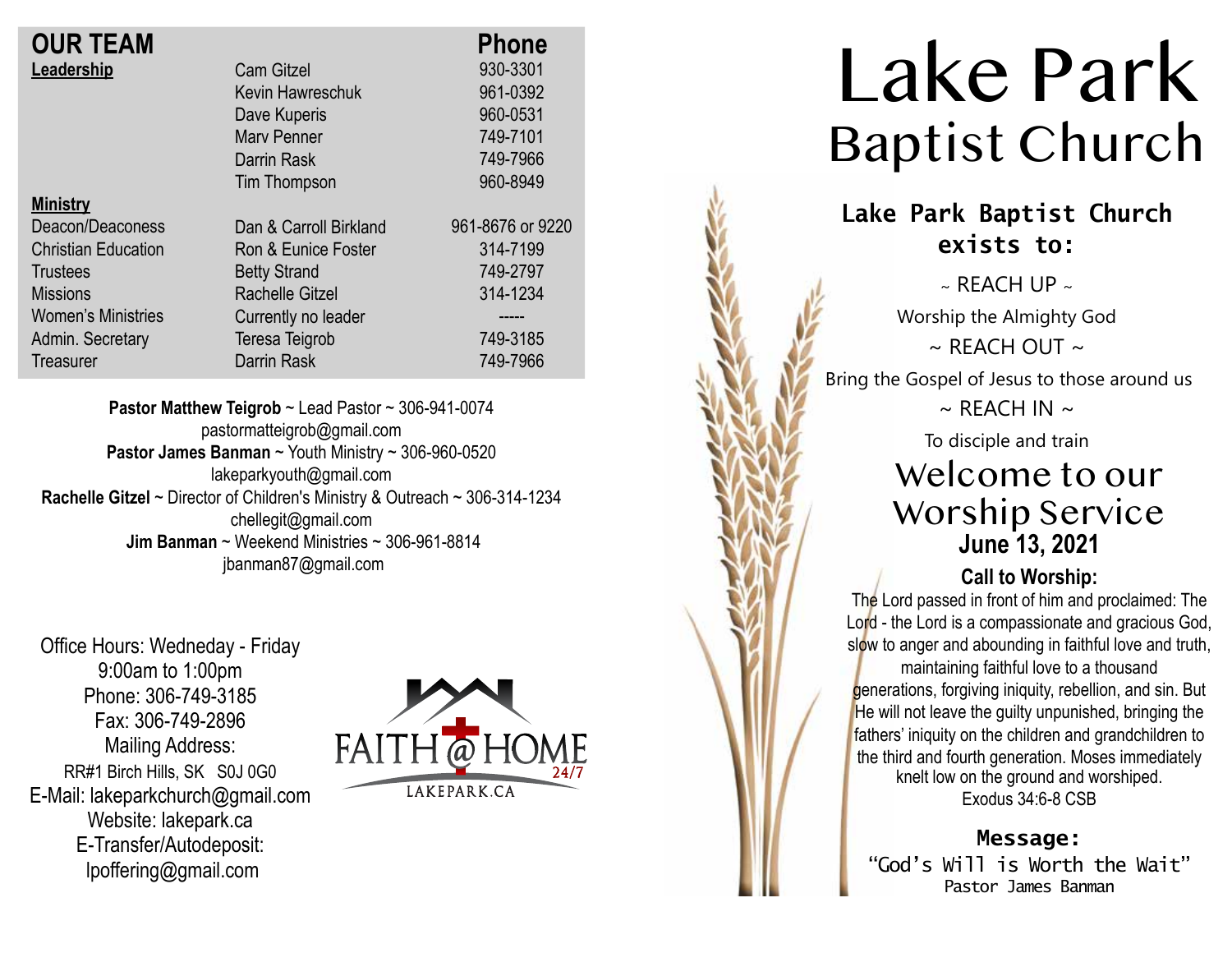| <b>OUR TEAM</b>            |                        | <b>Phone</b>     |
|----------------------------|------------------------|------------------|
| Leadership                 | <b>Cam Gitzel</b>      | 930-3301         |
|                            | Kevin Hawreschuk       | 961-0392         |
|                            | Dave Kuperis           | 960-0531         |
|                            | <b>Mary Penner</b>     | 749-7101         |
|                            | Darrin Rask            | 749-7966         |
|                            | Tim Thompson           | 960-8949         |
| <b>Ministry</b>            |                        |                  |
| Deacon/Deaconess           | Dan & Carroll Birkland | 961-8676 or 9220 |
| <b>Christian Education</b> | Ron & Eunice Foster    | 314-7199         |
| <b>Trustees</b>            | <b>Betty Strand</b>    | 749-2797         |
| <b>Missions</b>            | <b>Rachelle Gitzel</b> | 314-1234         |
| <b>Women's Ministries</b>  | Currently no leader    |                  |
| Admin. Secretary           | Teresa Teigrob         | 749-3185         |
| Treasurer                  | <b>Darrin Rask</b>     | 749-7966         |

**Pastor Matthew Teigrob** ~ Lead Pastor ~ 306-941-0074 pastormatteigrob@gmail.com **Pastor James Banman** ~ Youth Ministry ~ 306-960-0520 lakeparkyouth@gmail.com **Rachelle Gitzel** ~ Director of Children's Ministry & Outreach ~ 306-314-1234 chellegit@gmail.com  **Jim Banman** ~ Weekend Ministries ~ 306-961-8814 jbanman87@gmail.com

Office Hours: Wedneday - Friday 9:00am to 1:00pm Phone: 306-749-3185 Fax: 306-749-2896 Mailing Address: RR#1 Birch Hills, SK S0J 0G0 E-Mail: lakeparkchurch@gmail.com Website: lakepark.ca E-Transfer/Autodeposit: lpoffering@gmail.com



# Lake Park Baptist Church

### **Lake Park Baptist Church exists to:**

 $\sim$  RFACH UP  $\sim$ Worship the Almighty God  $\sim$  REACH OUT  $\sim$ Bring the Gospel of Jesus to those around us  $\sim$  RFACH IN  $\sim$ To disciple and train Welcome to our

### Worship Service **June 13, 2021**

#### **Call to Worship:**

The Lord passed in front of him and proclaimed: The Lord - the Lord is a compassionate and gracious God, slow to anger and abounding in faithful love and truth, maintaining faithful love to a thousand generations, forgiving iniquity, rebellion, and sin. But He will not leave the guilty unpunished, bringing the fathers' iniquity on the children and grandchildren to the third and fourth generation. Moses immediately knelt low on the ground and worshiped.

Exodus 34:6-8 CSB

**Message:** "God's Will is Worth the Wait" Pastor James Banman